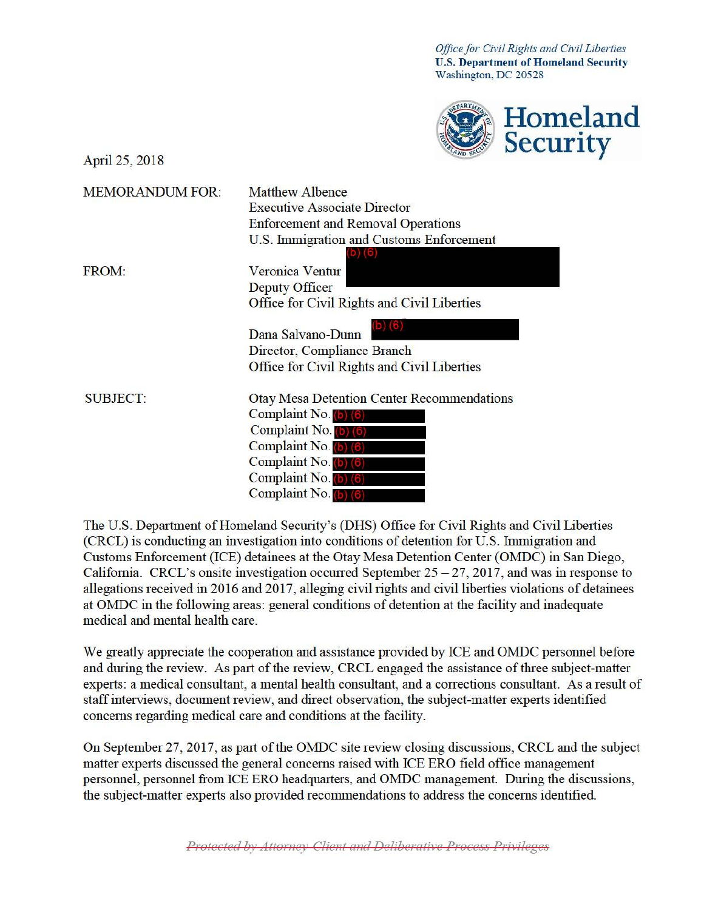*Office for Civil Rights and Civil Liberties* **U.S. Department of Homeland Security** Washington, DC 20528



April 25, 2018

| <b>MEMORANDUM FOR:</b> | <b>Matthew Albence</b><br><b>Executive Associate Director</b> |
|------------------------|---------------------------------------------------------------|
|                        | <b>Enforcement and Removal Operations</b>                     |
|                        | U.S. Immigration and Customs Enforcement                      |
|                        |                                                               |
| <b>FROM:</b>           | Veronica Ventur                                               |
|                        | Deputy Officer                                                |
|                        | Office for Civil Rights and Civil Liberties                   |
|                        | Dana Salvano-Dunn                                             |
|                        | Director, Compliance Branch                                   |
|                        | <b>Office for Civil Rights and Civil Liberties</b>            |
| <b>SUBJECT:</b>        | <b>Otay Mesa Detention Center Recommendations</b>             |
|                        | Complaint No.                                                 |
|                        | Complaint No.                                                 |
|                        | Complaint No.                                                 |
|                        | Complaint No. (b) (6)                                         |
|                        | Complaint No. b) 6                                            |
|                        | Complaint No. (b) (6)                                         |

The U.S. Department of Homeland Security's (DHS) Office for Civil Rights and Civil Liberties (CRCL) is conducting an investigation into conditions of detention for U.S. Immigration and Customs Enforcement (ICE) detainees at the Otay Mesa Detention Center (OMDC) in San Diego, California. CRCL's onsite investigation occurred September  $25 - 27$ , 2017, and was in response to allegations received in 2016 and 2017, alleging civil rights and civil liberties violations of detainees at OMDC in the following areas: general conditions of detention at the facility and inadequate medical and mental health care.

We greatly appreciate the cooperation and assistance provided by ICE and OMDC personnel before and during the review. As part of the review, CRCL engaged the assistance of three subject-matter experts: a medical consultant, a mental health consultant, and a corrections consultant. As a result of staff interviews, document review, and direct observation, the subject-matter experts identified concerns regarding medical care and conditions at the facility.

On September 27, 2017, as part of the OMDC site review closing discussions, CRCL and the subject matter experts discussed the general concerns raised with ICE ERO field office management personnel, personnel from ICE ERO headquarters, and OMDC management. During the discussions, the subject-matter experts also provided recommendations to address the concerns identified.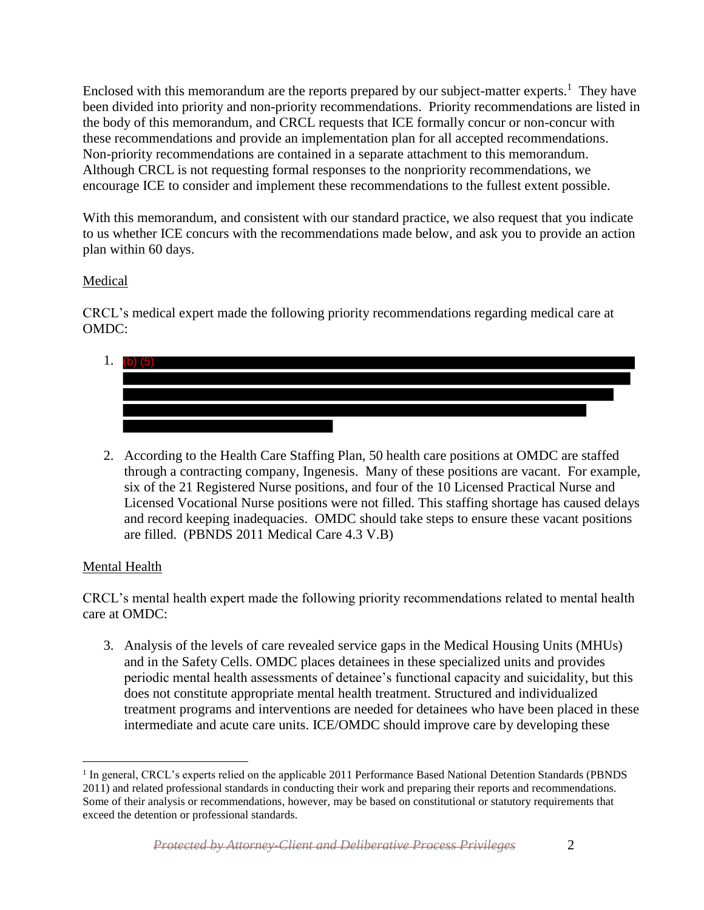Enclosed with this memorandum are the reports prepared by our subject-matter experts.<sup>1</sup> They have been divided into priority and non-priority recommendations. Priority recommendations are listed in the body of this memorandum, and CRCL requests that ICE formally concur or non-concur with these recommendations and provide an implementation plan for all accepted recommendations. Non-priority recommendations are contained in a separate attachment to this memorandum. Although CRCL is not requesting formal responses to the nonpriority recommendations, we encourage ICE to consider and implement these recommendations to the fullest extent possible.

With this memorandum, and consistent with our standard practice, we also request that you indicate to us whether ICE concurs with the recommendations made below, and ask you to provide an action plan within 60 days.

## Medical

CRCL's medical expert made the following priority recommendations regarding medical care at OMDC:

- 1. (b)  $(5)$
- 2. According to the Health Care Staffing Plan, 50 health care positions at OMDC are staffed through a contracting company, Ingenesis. Many of these positions are vacant. For example, six of the 21 Registered Nurse positions, and four of the 10 Licensed Practical Nurse and Licensed Vocational Nurse positions were not filled. This staffing shortage has caused delays and record keeping inadequacies. OMDC should take steps to ensure these vacant positions are filled. (PBNDS 2011 Medical Care 4.3 V.B)

## Mental Health

CRCL's mental health expert made the following priority recommendations related to mental health care at OMDC:

3. Analysis of the levels of care revealed service gaps in the Medical Housing Units (MHUs) and in the Safety Cells. OMDC places detainees in these specialized units and provides periodic mental health assessments of detainee's functional capacity and suicidality, but this does not constitute appropriate mental health treatment. Structured and individualized treatment programs and interventions are needed for detainees who have been placed in these intermediate and acute care units. ICE/OMDC should improve care by developing these

<sup>&</sup>lt;sup>1</sup> In general, CRCL's experts relied on the applicable 2011 Performance Based National Detention Standards (PBNDS 2011) and related professional standards in conducting their work and preparing their reports and recommendations. Some of their analysis or recommendations, however, may be based on constitutional or statutory requirements that exceed the detention or professional standards.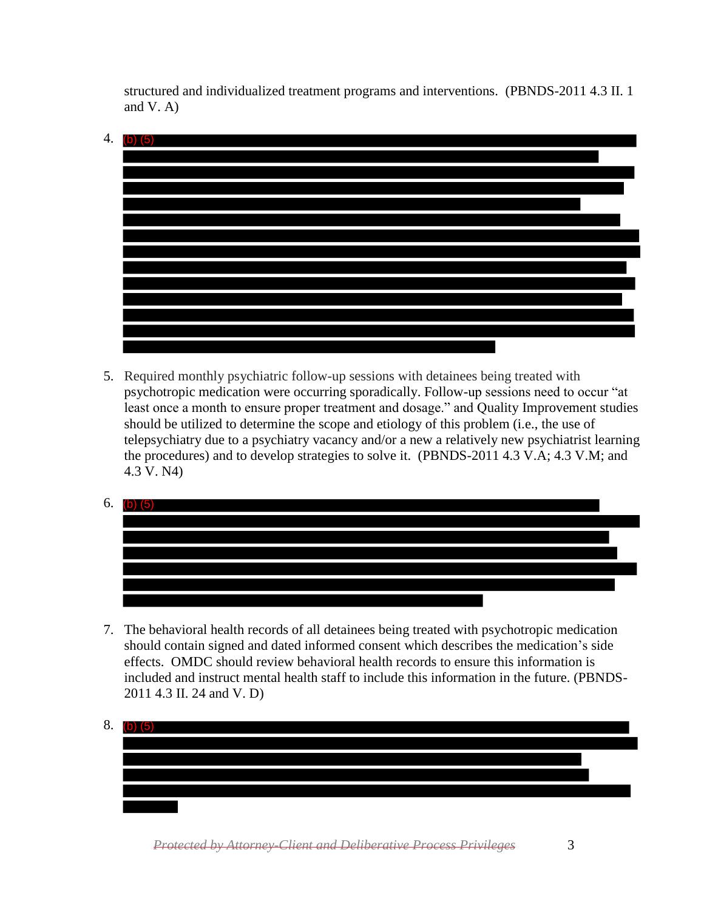structured and individualized treatment programs and interventions. (PBNDS-2011 4.3 II. 1 and V. A)



5. Required monthly psychiatric follow-up sessions with detainees being treated with psychotropic medication were occurring sporadically. Follow-up sessions need to occur "at least once a month to ensure proper treatment and dosage." and Quality Improvement studies should be utilized to determine the scope and etiology of this problem (i.e., the use of telepsychiatry due to a psychiatry vacancy and/or a new a relatively new psychiatrist learning the procedures) and to develop strategies to solve it. (PBNDS-2011 4.3 V.A; 4.3 V.M; and 4.3 V. N4)





7. The behavioral health records of all detainees being treated with psychotropic medication should contain signed and dated informed consent which describes the medication's side effects. OMDC should review behavioral health records to ensure this information is included and instruct mental health staff to include this information in the future. (PBNDS-2011 4.3 II. 24 and V. D)

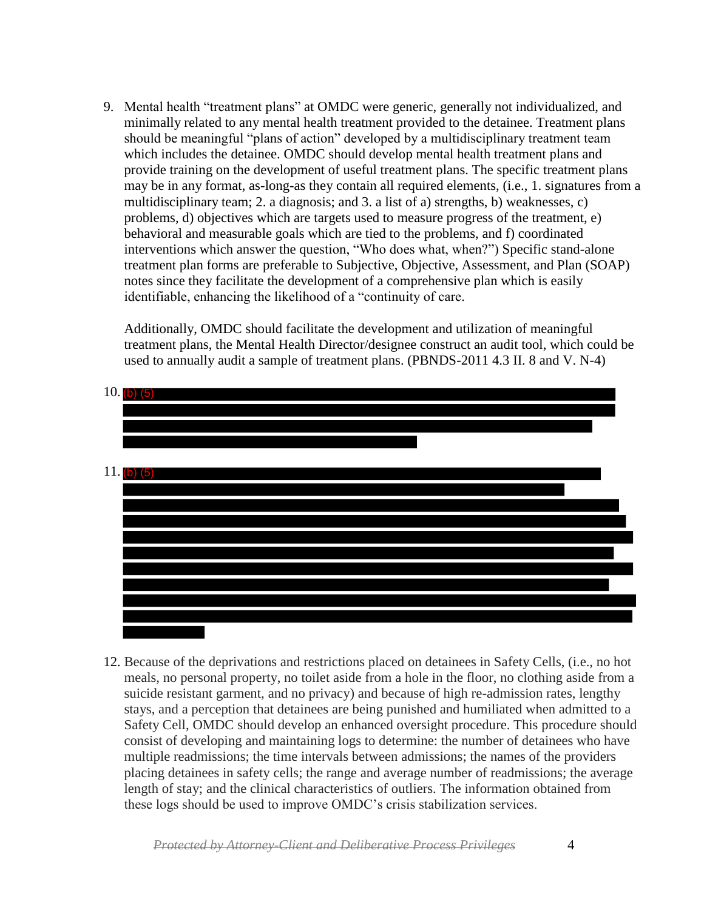9. Mental health "treatment plans" at OMDC were generic, generally not individualized, and minimally related to any mental health treatment provided to the detainee. Treatment plans should be meaningful "plans of action" developed by a multidisciplinary treatment team which includes the detainee. OMDC should develop mental health treatment plans and provide training on the development of useful treatment plans. The specific treatment plans may be in any format, as-long-as they contain all required elements, (i.e., 1. signatures from a multidisciplinary team; 2. a diagnosis; and 3. a list of a) strengths, b) weaknesses, c) problems, d) objectives which are targets used to measure progress of the treatment, e) behavioral and measurable goals which are tied to the problems, and f) coordinated interventions which answer the question, "Who does what, when?") Specific stand-alone treatment plan forms are preferable to Subjective, Objective, Assessment, and Plan (SOAP) notes since they facilitate the development of a comprehensive plan which is easily identifiable, enhancing the likelihood of a "continuity of care.

Additionally, OMDC should facilitate the development and utilization of meaningful treatment plans, the Mental Health Director/designee construct an audit tool, which could be used to annually audit a sample of treatment plans. (PBNDS-2011 4.3 II. 8 and V. N-4)



12. Because of the deprivations and restrictions placed on detainees in Safety Cells, (i.e., no hot meals, no personal property, no toilet aside from a hole in the floor, no clothing aside from a suicide resistant garment, and no privacy) and because of high re-admission rates, lengthy stays, and a perception that detainees are being punished and humiliated when admitted to a Safety Cell, OMDC should develop an enhanced oversight procedure. This procedure should consist of developing and maintaining logs to determine: the number of detainees who have multiple readmissions; the time intervals between admissions; the names of the providers placing detainees in safety cells; the range and average number of readmissions; the average length of stay; and the clinical characteristics of outliers. The information obtained from these logs should be used to improve OMDC's crisis stabilization services.

*Protected by Attorney-Client and Deliberative Process Privileges* 4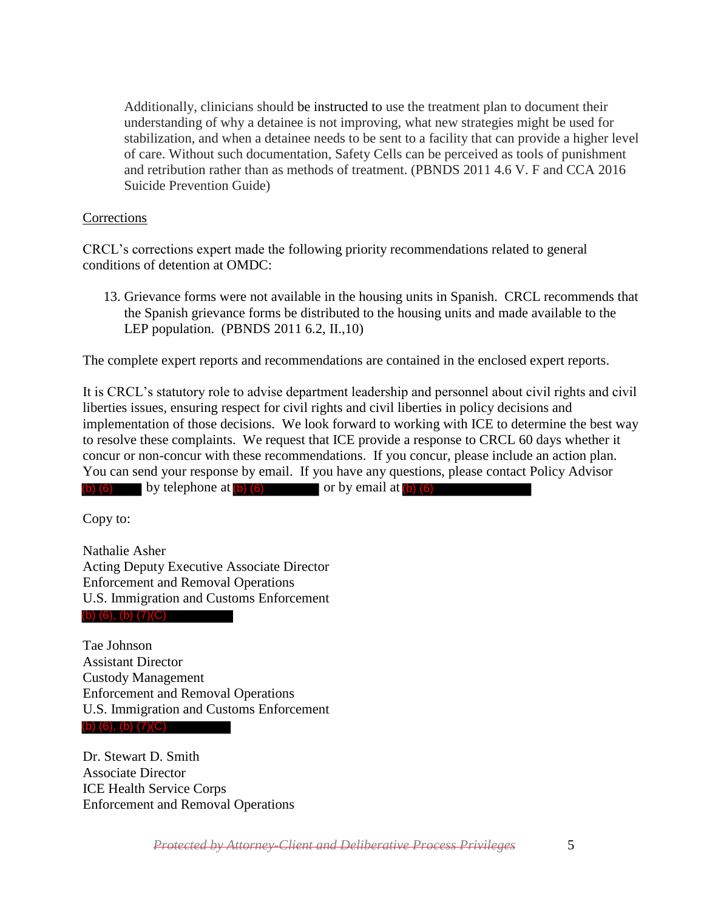Additionally, clinicians should be instructed to use the treatment plan to document their understanding of why a detainee is not improving, what new strategies might be used for stabilization, and when a detainee needs to be sent to a facility that can provide a higher level of care. Without such documentation, Safety Cells can be perceived as tools of punishment and retribution rather than as methods of treatment. (PBNDS 2011 4.6 V. F and CCA 2016 Suicide Prevention Guide)

## **Corrections**

CRCL's corrections expert made the following priority recommendations related to general conditions of detention at OMDC:

13. Grievance forms were not available in the housing units in Spanish. CRCL recommends that the Spanish grievance forms be distributed to the housing units and made available to the LEP population. (PBNDS 2011 6.2, II.,10)

The complete expert reports and recommendations are contained in the enclosed expert reports.

It is CRCL's statutory role to advise department leadership and personnel about civil rights and civil liberties issues, ensuring respect for civil rights and civil liberties in policy decisions and implementation of those decisions. We look forward to working with ICE to determine the best way to resolve these complaints. We request that ICE provide a response to CRCL 60 days whether it concur or non-concur with these recommendations. If you concur, please include an action plan. You can send your response by email. If you have any questions, please contact Policy Advisor (b)  $(6)$  by telephone at  $(b)$   $(6)$  or by email at  $(b)$   $(6)$ 

Copy to:

Nathalie Asher Acting Deputy Executive Associate Director Enforcement and Removal Operations U.S. Immigration and Customs Enforcement

## (b) (6), (b) (7)(C)

Tae Johnson Assistant Director Custody Management Enforcement and Removal Operations U.S. Immigration and Customs Enforcement (b) (6), (b) (7)(C)

Dr. Stewart D. Smith Associate Director ICE Health Service Corps Enforcement and Removal Operations